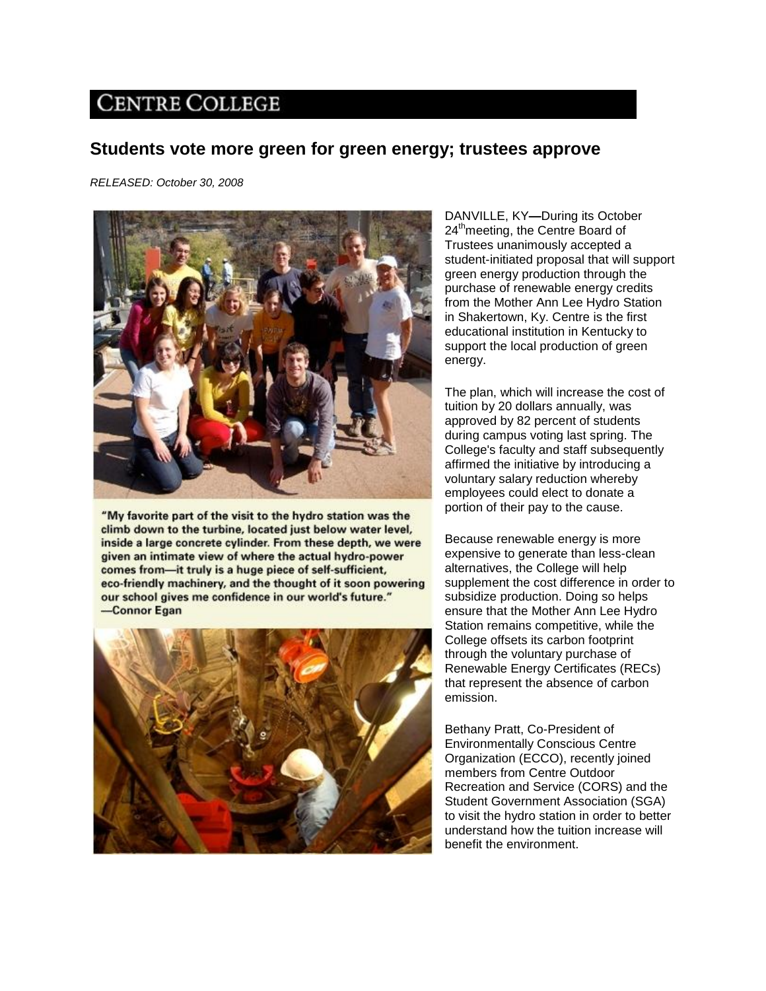## **CENTRE COLLEGE**

## **Students vote more green for green energy; trustees approve**

*RELEASED: October 30, 2008*



"My favorite part of the visit to the hydro station was the climb down to the turbine, located just below water level, inside a large concrete cylinder. From these depth, we were given an intimate view of where the actual hydro-power comes from-it truly is a huge piece of self-sufficient, eco-friendly machinery, and the thought of it soon powering our school gives me confidence in our world's future." -Connor Egan



DANVILLE, KY**—**During its October 24<sup>th</sup>meeting, the Centre Board of Trustees unanimously accepted a student-initiated proposal that will support green energy production through the purchase of renewable energy credits from the Mother Ann Lee Hydro Station in Shakertown, Ky. Centre is the first educational institution in Kentucky to support the local production of green energy.

The plan, which will increase the cost of tuition by 20 dollars annually, was approved by 82 percent of students during campus voting last spring. The College's faculty and staff subsequently affirmed the initiative by introducing a voluntary salary reduction whereby employees could elect to donate a portion of their pay to the cause.

Because renewable energy is more expensive to generate than less-clean alternatives, the College will help supplement the cost difference in order to subsidize production. Doing so helps ensure that the Mother Ann Lee Hydro Station remains competitive, while the College offsets its carbon footprint through the voluntary purchase of Renewable Energy Certificates (RECs) that represent the absence of carbon emission.

Bethany Pratt, Co-President of Environmentally Conscious Centre Organization (ECCO), recently joined members from Centre Outdoor Recreation and Service (CORS) and the Student Government Association (SGA) to visit the hydro station in order to better understand how the tuition increase will benefit the environment.